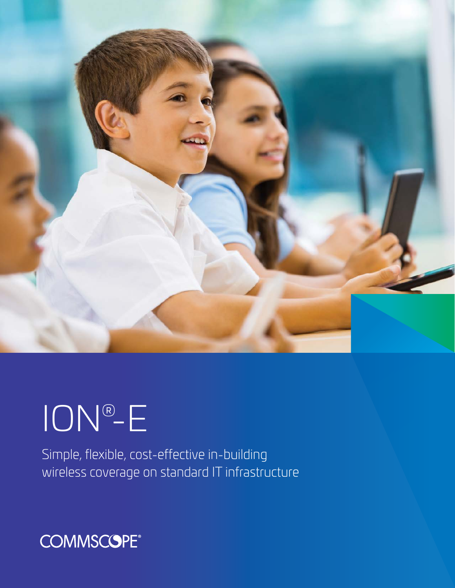

# ION®-E

Simple, flexible, cost-effective in-building wireless coverage on standard IT infrastructure

# **COMMSCOPE®**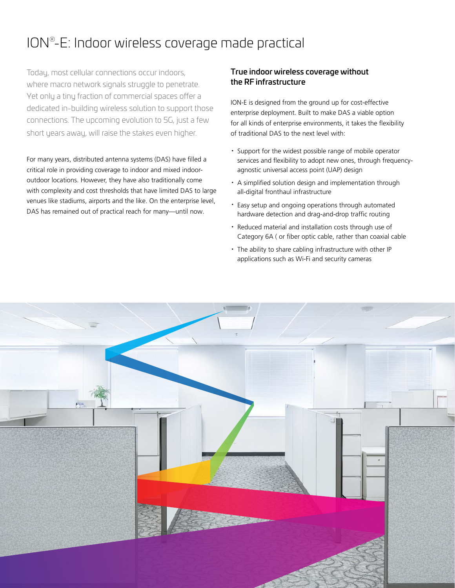## ION® -E: Indoor wireless coverage made practical

Today, most cellular connections occur indoors, where macro network signals struggle to penetrate. Yet only a tiny fraction of commercial spaces offer a dedicated in-building wireless solution to support those connections. The upcoming evolution to [5G,](http://www.commscope.com/5g/) just a few short years away, will raise the stakes even higher.

For many years, [distributed antenna systems \(DAS\)](http://www.commscope.com/Solutions/Distributed-antenna-systems-(DAS)/) have filled a critical role in providing coverage to indoor and mixed indooroutdoor locations. However, they have also traditionally come with complexity and cost thresholds that have limited DAS to large venues like stadiums, airports and the like. On the enterprise level, DAS has remained out of practical reach for many—until now.

### True indoor wireless coverage without the RF infrastructure

[ION-E](http://www.commscope.com/Solutions/Enterprise-DAS/) is designed from the ground up for cost-effective enterprise deployment. Built to make DAS a viable option for all kinds of enterprise environments, it takes the flexibility of traditional DAS to the next level with:

- · Support for the widest possible range of mobile operator services and flexibility to adopt new ones, through frequencyagnostic universal access point (UAP) design
- · A simplified solution design and implementation through all-digital fronthaul infrastructure
- · Easy setup and ongoing operations through automated hardware detection and drag-and-drop traffic routing
- · Reduced material and installation costs through use of Category 6A ( or fiber optic cable, rather than coaxial cable
- · The ability to share cabling infrastructure with other IP applications such as Wi-Fi and security cameras

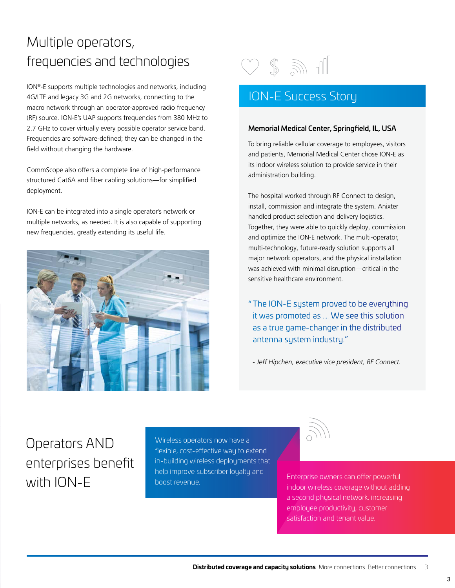## Multiple operators, frequencies and technologies

ION®-E supports multiple technologies and networks, including 4G/LTE and legacy 3G and 2G networks, connecting to the macro network through an operator-approved radio frequency (RF) source. ION-E's UAP supports frequencies from 380 MHz to 2.7 GHz to cover virtually every possible operator service band. Frequencies are software-defined; they can be changed in the field without changing the hardware.

CommScope also offers a complete line of high-performance structured Cat6A and fiber cabling solutions—for simplified deployment.

ION-E can be integrated into a single operator's network or multiple networks, as needed. It is also capable of supporting new frequencies, greatly extending its useful life.





### ION-E Success Story

#### Memorial Medical Center, Springfield, IL, USA

To bring reliable cellular coverage to employees, visitors and patients, Memorial Medical Center chose ION-E as its indoor wireless solution to provide service in their administration building.

The hospital worked through RF Connect to design, install, commission and integrate the system. Anixter handled product selection and delivery logistics. Together, they were able to quickly deploy, commission and optimize the ION-E network. The multi-operator, multi-technology, future-ready solution supports all major network operators, and the physical installation was achieved with minimal disruption—critical in the sensitive healthcare environment.

"The ION-E system proved to be everything it was promoted as …. We see this solution as a true game-changer in the distributed antenna system industry."

*- Jeff Hipchen, executive vice president, RF Connect.*

Operators AND enterprises benefit with ION-E

Wireless operators now have a flexible, cost-effective way to extend in-building wireless deployments that help improve subscriber loyalty and boost revenue. Enterprise owners can offer powerful



indoor wireless coverage without adding a second physical network, increasing employee productivity, customer satisfaction and tenant value.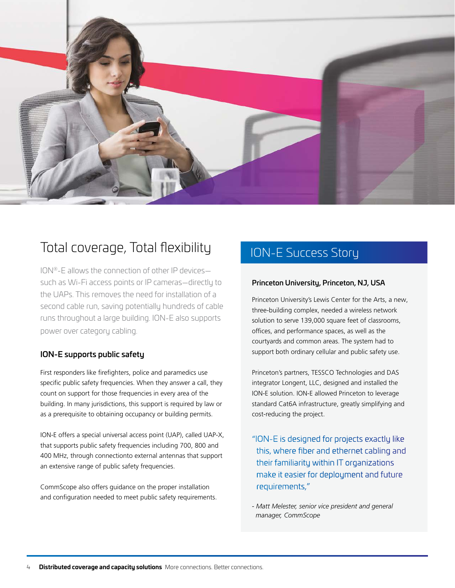

### Total coverage, Total flexibility

ION®-E allows the connection of other IP devices such as Wi-Fi access points or IP cameras—directly to the UAPs. This removes the need for installation of a second cable run, saving potentially hundreds of cable runs throughout a large building. ION-E also supports power over category cabling.

### ION-E supports public safety

First responders like firefighters, police and paramedics use specific public safety frequencies. When they answer a call, they count on support for those frequencies in every area of the building. In many jurisdictions, this support is required by law or as a prerequisite to obtaining occupancy or building permits.

ION-E offers a special universal access point (UAP), called UAP-X, that supports public safety frequencies including 700, 800 and 400 MHz, through connectionto external antennas that support an extensive range of public safety frequencies.

CommScope also offers guidance on the proper installation and configuration needed to meet public safety requirements.

### ION-E Success Story

### Princeton University, Princeton, NJ, USA

Princeton University's Lewis Center for the Arts, a new, three-building complex, needed a wireless network solution to serve 139,000 square feet of classrooms, offices, and performance spaces, as well as the courtyards and common areas. The system had to support both ordinary cellular and public safety use.

Princeton's partners, TESSCO Technologies and DAS integrator Longent, LLC, designed and installed the ION-E solution. ION-E allowed Princeton to leverage standard Cat6A infrastructure, greatly simplifying and cost-reducing the project.

- "ION-E is designed for projects exactly like this, where fiber and ethernet cabling and their familiarity within IT organizations make it easier for deployment and future requirements,"
- *Matt Melester, senior vice president and general manager, CommScope*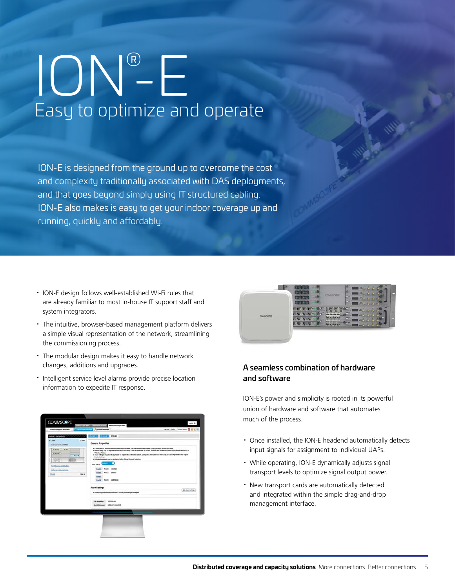# ION® -E Easy to optimize and operate

ION-E is designed from the ground up to overcome the cost and complexity traditionally associated with DAS deployments, and that goes beyond simply using IT structured cabling. ION-E also makes is easy to get your indoor coverage up and running, quickly and affordably.

- · ION-E design follows well-established Wi-Fi rules that are already familiar to most in-house IT support staff and system integrators.
- · The intuitive, browser-based management platform delivers a simple visual representation of the network, streamlining the commissioning process.
- · The modular design makes it easy to handle network changes, additions and upgrades.
- · Intelligent service level alarms provide precise location information to expedite IT response.





### A seamless combination of hardware and software

ION-E's power and simplicity is rooted in its powerful union of hardware and software that automates much of the process.

- · Once installed, the ION-E headend automatically detects input signals for assignment to individual UAPs.
- · While operating, ION-E dynamically adjusts signal transport levels to optimize signal output power.
- · New transport cards are automatically detected and integrated within the simple drag-and-drop management interface.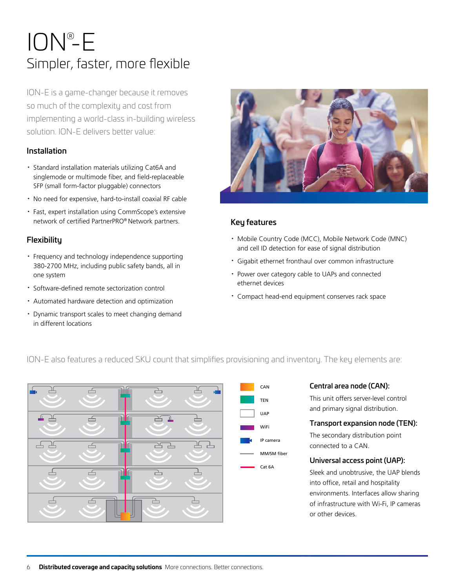# Simpler, faster, more flexible ION® -E

ION-E is a game-changer because it removes so much of the complexity and cost from implementing a world-class in-building wireless solution. ION-E delivers better value:

### Installation

- · Standard installation materials utilizing Cat6A and singlemode or multimode fiber, and field-replaceable SFP (small form-factor pluggable) connectors
- · No need for expensive, hard-to-install coaxial RF cable
- · Fast, expert installation using CommScope's extensive network of certified PartnerPRO® Network partners.

### **Flexibility**

- · Frequency and technology independence supporting 380-2700 MHz, including public safety bands, all in one system
- · Software-defined remote sectorization control
- · Automated hardware detection and optimization
- · Dynamic transport scales to meet changing demand in different locations



### Key features

- · Mobile Country Code (MCC), Mobile Network Code (MNC) and cell ID detection for ease of signal distribution
- · Gigabit ethernet fronthaul over common infrastructure
- · Power over category cable to UAPs and connected ethernet devices
- · Compact head-end equipment conserves rack space



### Central area node (CAN):

This unit offers server-level control and primary signal distribution.

### Transport expansion node (TEN):

The secondary distribution point connected to a CAN.

### Universal access point (UAP):

Sleek and unobtrusive, the UAP blends into office, retail and hospitality environments. Interfaces allow sharing of infrastructure with Wi-Fi, IP cameras or other devices.

### ION-E also features a reduced SKU count that simplifies provisioning and inventory. The key elements are: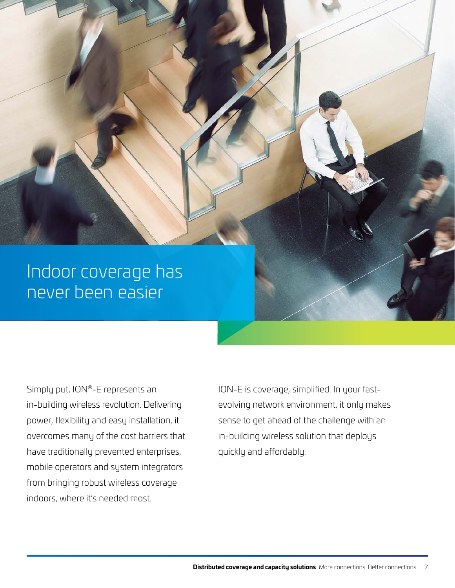# Indoor coverage has never been easier

Simply put, ION®-E represents an in-building wireless revolution. Delivering power, flexibility and easy installation, it overcomes many of the cost barriers that have traditionally prevented enterprises, mobile operators and system integrators from bringing robust wireless coverage indoors, where it's needed most.

ION-E is coverage, simplified. In your fastevolving network environment, it only makes sense to get ahead of the challenge with an in-building wireless solution that deploys quickly and affordably.